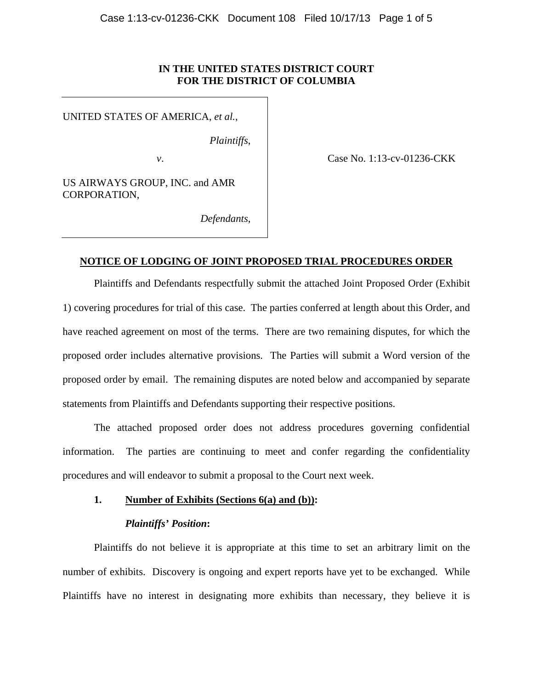## **IN THE UNITED STATES DISTRICT COURT FOR THE DISTRICT OF COLUMBIA**

UNITED STATES OF AMERICA, *et al.*,

*Plaintiffs*,

*v*. **Case No. 1:13-cv-01236-CKK** 

US AIRWAYS GROUP, INC. and AMR CORPORATION,

*Defendants*,

## **NOTICE OF LODGING OF JOINT PROPOSED TRIAL PROCEDURES ORDER**

Plaintiffs and Defendants respectfully submit the attached Joint Proposed Order (Exhibit 1) covering procedures for trial of this case. The parties conferred at length about this Order, and have reached agreement on most of the terms. There are two remaining disputes, for which the proposed order includes alternative provisions. The Parties will submit a Word version of the proposed order by email. The remaining disputes are noted below and accompanied by separate statements from Plaintiffs and Defendants supporting their respective positions.

The attached proposed order does not address procedures governing confidential information. The parties are continuing to meet and confer regarding the confidentiality procedures and will endeavor to submit a proposal to the Court next week.

## **1. Number of Exhibits (Sections 6(a) and (b)):**

## *Plaintiffs' Position***:**

Plaintiffs do not believe it is appropriate at this time to set an arbitrary limit on the number of exhibits. Discovery is ongoing and expert reports have yet to be exchanged. While Plaintiffs have no interest in designating more exhibits than necessary, they believe it is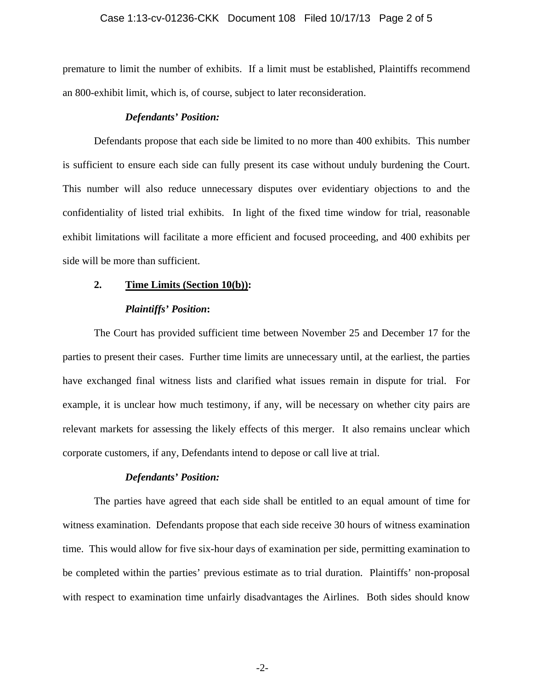#### Case 1:13-cv-01236-CKK Document 108 Filed 10/17/13 Page 2 of 5

premature to limit the number of exhibits. If a limit must be established, Plaintiffs recommend an 800-exhibit limit, which is, of course, subject to later reconsideration.

#### *Defendants' Position:*

Defendants propose that each side be limited to no more than 400 exhibits. This number is sufficient to ensure each side can fully present its case without unduly burdening the Court. This number will also reduce unnecessary disputes over evidentiary objections to and the confidentiality of listed trial exhibits. In light of the fixed time window for trial, reasonable exhibit limitations will facilitate a more efficient and focused proceeding, and 400 exhibits per side will be more than sufficient.

# **2. Time Limits (Section 10(b)):**

### *Plaintiffs' Position***:**

The Court has provided sufficient time between November 25 and December 17 for the parties to present their cases. Further time limits are unnecessary until, at the earliest, the parties have exchanged final witness lists and clarified what issues remain in dispute for trial. For example, it is unclear how much testimony, if any, will be necessary on whether city pairs are relevant markets for assessing the likely effects of this merger. It also remains unclear which corporate customers, if any, Defendants intend to depose or call live at trial.

### *Defendants' Position:*

The parties have agreed that each side shall be entitled to an equal amount of time for witness examination. Defendants propose that each side receive 30 hours of witness examination time. This would allow for five six-hour days of examination per side, permitting examination to be completed within the parties' previous estimate as to trial duration. Plaintiffs' non-proposal with respect to examination time unfairly disadvantages the Airlines. Both sides should know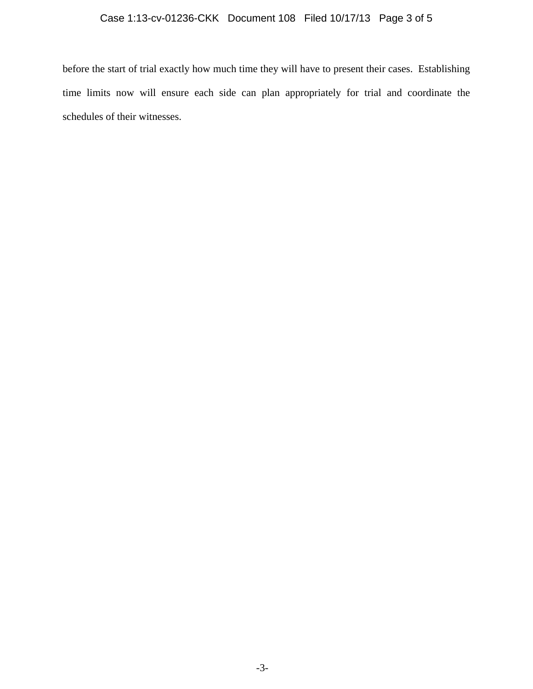# Case 1:13-cv-01236-CKK Document 108 Filed 10/17/13 Page 3 of 5

before the start of trial exactly how much time they will have to present their cases. Establishing time limits now will ensure each side can plan appropriately for trial and coordinate the schedules of their witnesses.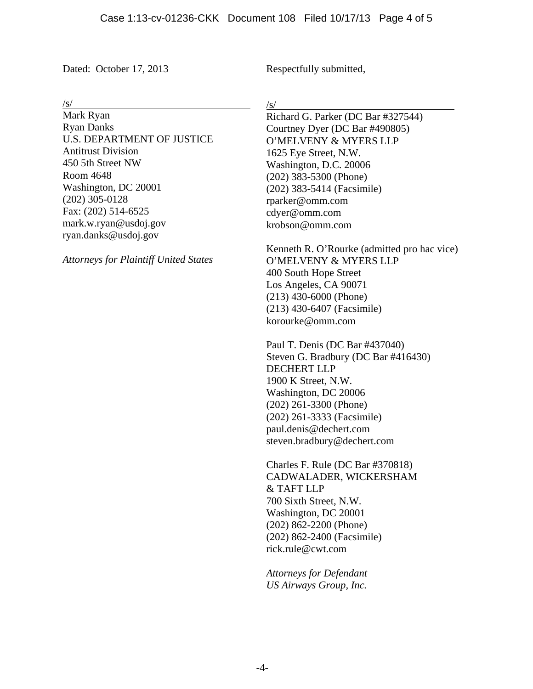Dated: October 17, 2013

Respectfully submitted,

/s/

Mark Ryan Ryan Danks U.S. DEPARTMENT OF JUSTICE Antitrust Division 450 5th Street NW Room 4648 Washington, DC 20001 (202) 305-0128 Fax: (202) 514-6525 mark.w.ryan@usdoj.gov ryan.danks@usdoj.gov

*Attorneys for Plaintiff United States* 

/s/

Richard G. Parker (DC Bar #327544) Courtney Dyer (DC Bar #490805) O'MELVENY & MYERS LLP 1625 Eye Street, N.W. Washington, D.C. 20006 (202) 383-5300 (Phone) (202) 383-5414 (Facsimile) rparker@omm.com cdyer@omm.com krobson@omm.com

Kenneth R. O'Rourke (admitted pro hac vice) O'MELVENY & MYERS LLP 400 South Hope Street Los Angeles, CA 90071 (213) 430-6000 (Phone) (213) 430-6407 (Facsimile) korourke@omm.com

Paul T. Denis (DC Bar #437040) Steven G. Bradbury (DC Bar #416430) DECHERT LLP 1900 K Street, N.W. Washington, DC 20006 (202) 261-3300 (Phone) (202) 261-3333 (Facsimile) paul.denis@dechert.com steven.bradbury@dechert.com

Charles F. Rule (DC Bar #370818) CADWALADER, WICKERSHAM & TAFT LLP 700 Sixth Street, N.W. Washington, DC 20001 (202) 862-2200 (Phone) (202) 862-2400 (Facsimile) rick.rule@cwt.com

*Attorneys for Defendant US Airways Group, Inc.*